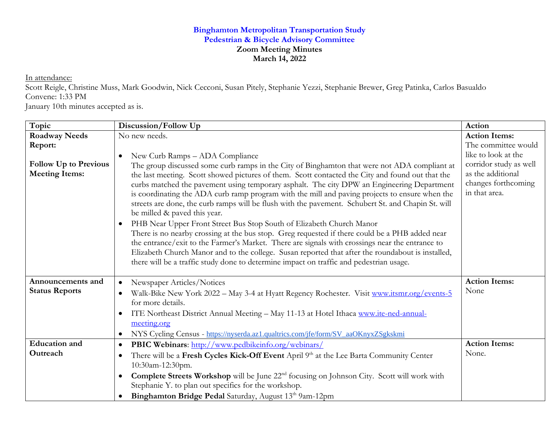## **Binghamton Metropolitan Transportation Study Pedestrian & Bicycle Advisory Committee Zoom Meeting Minutes March 14, 2022**

In attendance:

Scott Reigle, Christine Muss, Mark Goodwin, Nick Cecconi, Susan Pitely, Stephanie Yezzi, Stephanie Brewer, Greg Patinka, Carlos Basualdo Convene: 1:33 PM

January 10th minutes accepted as is.

| Topic                        | Discussion/Follow Up                                                                                                                                                                              | Action                 |
|------------------------------|---------------------------------------------------------------------------------------------------------------------------------------------------------------------------------------------------|------------------------|
| <b>Roadway Needs</b>         | No new needs.                                                                                                                                                                                     | <b>Action Items:</b>   |
| Report:                      |                                                                                                                                                                                                   | The committee would    |
|                              | New Curb Ramps - ADA Compliance<br>$\bullet$                                                                                                                                                      | like to look at the    |
| <b>Follow Up to Previous</b> | The group discussed some curb ramps in the City of Binghamton that were not ADA compliant at                                                                                                      | corridor study as well |
| <b>Meeting Items:</b>        | the last meeting. Scott showed pictures of them. Scott contacted the City and found out that the                                                                                                  | as the additional      |
|                              | curbs matched the pavement using temporary asphalt. The city DPW an Engineering Department                                                                                                        | changes forthcoming    |
|                              | is coordinating the ADA curb ramp program with the mill and paving projects to ensure when the                                                                                                    | in that area.          |
|                              | streets are done, the curb ramps will be flush with the pavement. Schubert St. and Chapin St. will                                                                                                |                        |
|                              | be milled & paved this year.                                                                                                                                                                      |                        |
|                              | PHB Near Upper Front Street Bus Stop South of Elizabeth Church Manor<br>$\bullet$                                                                                                                 |                        |
|                              | There is no nearby crossing at the bus stop. Greg requested if there could be a PHB added near<br>the entrance/exit to the Farmer's Market. There are signals with crossings near the entrance to |                        |
|                              | Elizabeth Church Manor and to the college. Susan reported that after the roundabout is installed,                                                                                                 |                        |
|                              | there will be a traffic study done to determine impact on traffic and pedestrian usage.                                                                                                           |                        |
|                              |                                                                                                                                                                                                   |                        |
| Announcements and            | Newspaper Articles/Notices                                                                                                                                                                        | <b>Action Items:</b>   |
| <b>Status Reports</b>        | Walk-Bike New York 2022 - May 3-4 at Hyatt Regency Rochester. Visit www.itsmr.org/events-5                                                                                                        | None                   |
|                              | for more details.                                                                                                                                                                                 |                        |
|                              | ITE Northeast District Annual Meeting - May 11-13 at Hotel Ithaca www.ite-ned-annual-<br>$\bullet$                                                                                                |                        |
|                              | meeting.org                                                                                                                                                                                       |                        |
|                              | NYS Cycling Census - https://nyserda.az1.qualtrics.com/jfe/form/SV_aaOKnyxZSgkskmi<br>$\bullet$                                                                                                   |                        |
| <b>Education</b> and         | PBIC Webinars: http://www.pedbikeinfo.org/webinars/<br>$\bullet$                                                                                                                                  | <b>Action Items:</b>   |
| Outreach                     | There will be a Fresh Cycles Kick-Off Event April 9th at the Lee Barta Community Center<br>$\bullet$                                                                                              | None.                  |
|                              | 10:30am-12:30pm.                                                                                                                                                                                  |                        |
|                              | <b>Complete Streets Workshop</b> will be June 22 <sup>nd</sup> focusing on Johnson City. Scott will work with<br>$\bullet$                                                                        |                        |
|                              | Stephanie Y. to plan out specifics for the workshop.                                                                                                                                              |                        |
|                              | Binghamton Bridge Pedal Saturday, August 13th 9am-12pm                                                                                                                                            |                        |